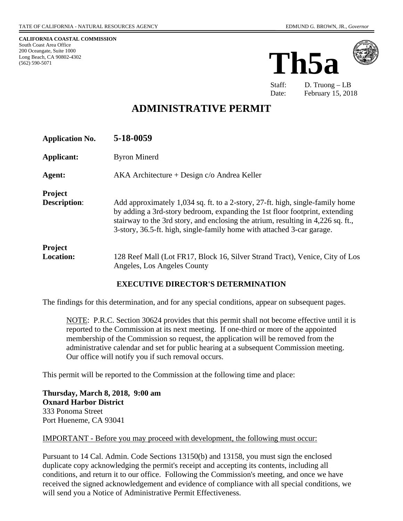**CALIFORNIA COASTAL COMMISSION** South Coast Area Office 200 Oceangate, Suite 1000 Long Beach, CA 90802-4302 (562) 590-5071





Staff: D. Truong – LB Date: February 15, 2018

# **ADMINISTRATIVE PERMIT**

| <b>Application No.</b>                | 5-18-0059                                                                                                                                                                                                                                                                                                                  |
|---------------------------------------|----------------------------------------------------------------------------------------------------------------------------------------------------------------------------------------------------------------------------------------------------------------------------------------------------------------------------|
| Applicant:                            | <b>Byron Minerd</b>                                                                                                                                                                                                                                                                                                        |
| Agent:                                | $AKA$ Architecture + Design $c$ /o Andrea Keller                                                                                                                                                                                                                                                                           |
| <b>Project</b><br><b>Description:</b> | Add approximately 1,034 sq. ft. to a 2-story, 27-ft. high, single-family home<br>by adding a 3rd-story bedroom, expanding the 1st floor footprint, extending<br>stairway to the 3rd story, and enclosing the atrium, resulting in 4,226 sq. ft.,<br>3-story, 36.5-ft. high, single-family home with attached 3-car garage. |
| <b>Project</b><br><b>Location:</b>    | 128 Reef Mall (Lot FR17, Block 16, Silver Strand Tract), Venice, City of Los<br>Angeles, Los Angeles County                                                                                                                                                                                                                |

### **EXECUTIVE DIRECTOR'S DETERMINATION**

The findings for this determination, and for any special conditions, appear on subsequent pages.

NOTE: P.R.C. Section 30624 provides that this permit shall not become effective until it is reported to the Commission at its next meeting. If one-third or more of the appointed membership of the Commission so request, the application will be removed from the administrative calendar and set for public hearing at a subsequent Commission meeting. Our office will notify you if such removal occurs.

This permit will be reported to the Commission at the following time and place:

**Thursday, March 8, 2018, 9:00 am Oxnard Harbor District** 333 Ponoma Street Port Hueneme, CA 93041

### IMPORTANT - Before you may proceed with development, the following must occur:

Pursuant to 14 Cal. Admin. Code Sections 13150(b) and 13158, you must sign the enclosed duplicate copy acknowledging the permit's receipt and accepting its contents, including all conditions, and return it to our office. Following the Commission's meeting, and once we have received the signed acknowledgement and evidence of compliance with all special conditions, we will send you a Notice of Administrative Permit Effectiveness.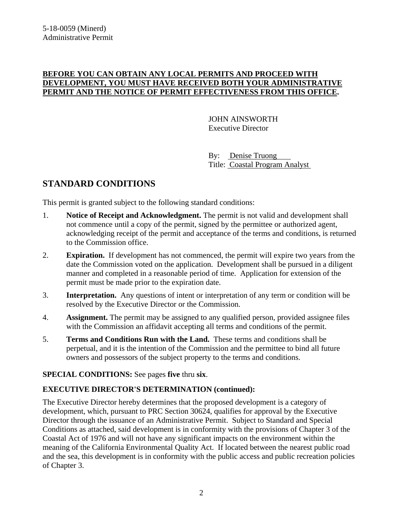### **BEFORE YOU CAN OBTAIN ANY LOCAL PERMITS AND PROCEED WITH DEVELOPMENT, YOU MUST HAVE RECEIVED BOTH YOUR ADMINISTRATIVE PERMIT AND THE NOTICE OF PERMIT EFFECTIVENESS FROM THIS OFFICE.**

 JOHN AINSWORTH Executive Director

 By: Denise Truong Title: Coastal Program Analyst

# **STANDARD CONDITIONS**

This permit is granted subject to the following standard conditions:

- 1. **Notice of Receipt and Acknowledgment.** The permit is not valid and development shall not commence until a copy of the permit, signed by the permittee or authorized agent, acknowledging receipt of the permit and acceptance of the terms and conditions, is returned to the Commission office.
- 2. **Expiration.** If development has not commenced, the permit will expire two years from the date the Commission voted on the application. Development shall be pursued in a diligent manner and completed in a reasonable period of time. Application for extension of the permit must be made prior to the expiration date.
- 3. **Interpretation.** Any questions of intent or interpretation of any term or condition will be resolved by the Executive Director or the Commission.
- 4. **Assignment.** The permit may be assigned to any qualified person, provided assignee files with the Commission an affidavit accepting all terms and conditions of the permit.
- 5. **Terms and Conditions Run with the Land.** These terms and conditions shall be perpetual, and it is the intention of the Commission and the permittee to bind all future owners and possessors of the subject property to the terms and conditions.

**SPECIAL CONDITIONS:** See pages **five** thru **six**.

### **EXECUTIVE DIRECTOR'S DETERMINATION (continued):**

The Executive Director hereby determines that the proposed development is a category of development, which, pursuant to PRC Section 30624, qualifies for approval by the Executive Director through the issuance of an Administrative Permit. Subject to Standard and Special Conditions as attached, said development is in conformity with the provisions of Chapter 3 of the Coastal Act of 1976 and will not have any significant impacts on the environment within the meaning of the California Environmental Quality Act. If located between the nearest public road and the sea, this development is in conformity with the public access and public recreation policies of Chapter 3.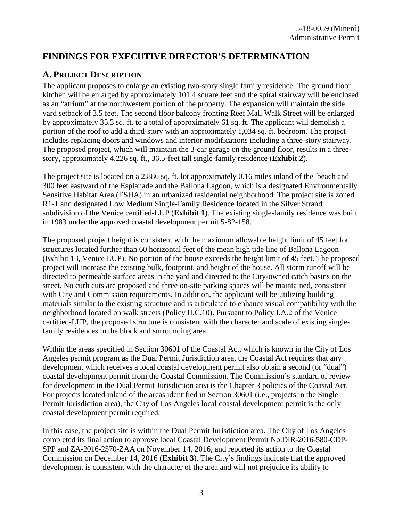# **FINDINGS FOR EXECUTIVE DIRECTOR'S DETERMINATION**

### **A. PROJECT DESCRIPTION**

The applicant proposes to enlarge an existing two-story single family residence. The ground floor kitchen will be enlarged by approximately 101.4 square feet and the spiral stairway will be enclosed as an "atrium" at the northwestern portion of the property. The expansion will maintain the side yard setback of 3.5 feet. The second floor balcony fronting Reef Mall Walk Street will be enlarged by approximately 35.3 sq. ft. to a total of approximately 61 sq. ft. The applicant will demolish a portion of the roof to add a third-story with an approximately 1,034 sq. ft. bedroom. The project includes replacing doors and windows and interior modifications including a three-story stairway. The proposed project, which will maintain the 3-car garage on the ground floor, results in a threestory, approximately 4,226 sq. ft., 36.5-feet tall single-family residence (**Exhibit 2**).

The project site is located on a 2,886 sq. ft. lot approximately 0.16 miles inland of the beach and 300 feet eastward of the Esplanade and the Ballona Lagoon, which is a designated Environmentally Sensitive Habitat Area (ESHA) in an urbanized residential neighborhood. The project site is zoned R1-1 and designated Low Medium Single-Family Residence located in the Silver Strand subdivision of the Venice certified-LUP (**Exhibit 1**). The existing single-family residence was built in 1983 under the approved coastal development permit 5-82-158.

The proposed project height is consistent with the maximum allowable height limit of 45 feet for structures located further than 60 horizontal feet of the mean high tide line of Ballona Lagoon (Exhibit 13, Venice LUP). No portion of the house exceeds the height limit of 45 feet. The proposed project will increase the existing bulk, footprint, and height of the house. All storm runoff will be directed to permeable surface areas in the yard and directed to the City-owned catch basins on the street. No curb cuts are proposed and three on-site parking spaces will be maintained, consistent with City and Commission requirements. In addition, the applicant will be utilizing building materials similar to the existing structure and is articulated to enhance visual compatibility with the neighborhood located on walk streets (Policy II.C.10). Pursuant to Policy I.A.2 of the Venice certified-LUP, the proposed structure is consistent with the character and scale of existing singlefamily residences in the block and surrounding area.

Within the areas specified in Section 30601 of the Coastal Act, which is known in the City of Los Angeles permit program as the Dual Permit Jurisdiction area, the Coastal Act requires that any development which receives a local coastal development permit also obtain a second (or "dual") coastal development permit from the Coastal Commission. The Commission's standard of review for development in the Dual Permit Jurisdiction area is the Chapter 3 policies of the Coastal Act. For projects located inland of the areas identified in Section 30601 (i.e., projects in the Single Permit Jurisdiction area), the City of Los Angeles local coastal development permit is the only coastal development permit required.

In this case, the project site is within the Dual Permit Jurisdiction area. The City of Los Angeles completed its final action to approve local Coastal Development Permit No.DIR-2016-580-CDP-SPP and ZA-2016-2570-ZAA on November 14, 2016, and reported its action to the Coastal Commission on December 14, 2016 (**Exhibit 3**). The City's findings indicate that the approved development is consistent with the character of the area and will not prejudice its ability to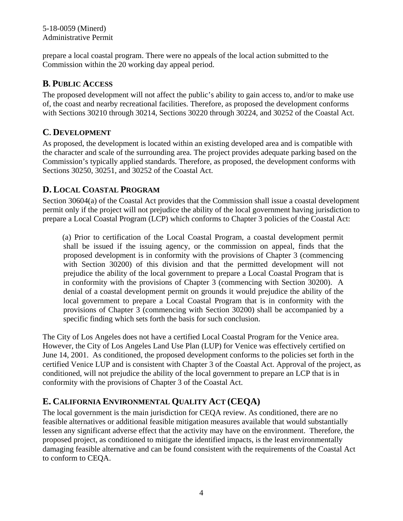#### 5-18-0059 (Minerd) Administrative Permit

prepare a local coastal program. There were no appeals of the local action submitted to the Commission within the 20 working day appeal period.

### **B. PUBLIC ACCESS**

The proposed development will not affect the public's ability to gain access to, and/or to make use of, the coast and nearby recreational facilities. Therefore, as proposed the development conforms with Sections 30210 through 30214, Sections 30220 through 30224, and 30252 of the Coastal Act.

### **C. DEVELOPMENT**

As proposed, the development is located within an existing developed area and is compatible with the character and scale of the surrounding area. The project provides adequate parking based on the Commission's typically applied standards. Therefore, as proposed, the development conforms with Sections 30250, 30251, and 30252 of the Coastal Act.

# **D. LOCAL COASTAL PROGRAM**

Section 30604(a) of the Coastal Act provides that the Commission shall issue a coastal development permit only if the project will not prejudice the ability of the local government having jurisdiction to prepare a Local Coastal Program (LCP) which conforms to Chapter 3 policies of the Coastal Act:

(a) Prior to certification of the Local Coastal Program, a coastal development permit shall be issued if the issuing agency, or the commission on appeal, finds that the proposed development is in conformity with the provisions of Chapter 3 (commencing with Section 30200) of this division and that the permitted development will not prejudice the ability of the local government to prepare a Local Coastal Program that is in conformity with the provisions of Chapter 3 (commencing with Section 30200). A denial of a coastal development permit on grounds it would prejudice the ability of the local government to prepare a Local Coastal Program that is in conformity with the provisions of Chapter 3 (commencing with Section 30200) shall be accompanied by a specific finding which sets forth the basis for such conclusion.

The City of Los Angeles does not have a certified Local Coastal Program for the Venice area. However, the City of Los Angeles Land Use Plan (LUP) for Venice was effectively certified on June 14, 2001. As conditioned, the proposed development conforms to the policies set forth in the certified Venice LUP and is consistent with Chapter 3 of the Coastal Act. Approval of the project, as conditioned, will not prejudice the ability of the local government to prepare an LCP that is in conformity with the provisions of Chapter 3 of the Coastal Act.

# **E. CALIFORNIA ENVIRONMENTAL QUALITY ACT (CEQA)**

The local government is the main jurisdiction for CEQA review. As conditioned, there are no feasible alternatives or additional feasible mitigation measures available that would substantially lessen any significant adverse effect that the activity may have on the environment. Therefore, the proposed project, as conditioned to mitigate the identified impacts, is the least environmentally damaging feasible alternative and can be found consistent with the requirements of the Coastal Act to conform to CEQA.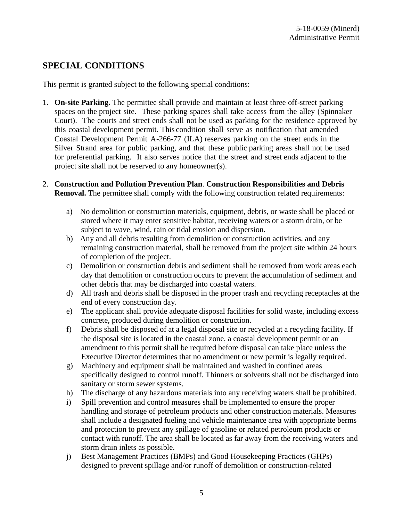# **SPECIAL CONDITIONS**

This permit is granted subject to the following special conditions:

- 1. **On-site Parking.** The permittee shall provide and maintain at least three off-street parking spaces on the project site. These parking spaces shall take access from the alley (Spinnaker Court). The courts and street ends shall not be used as parking for the residence approved by this coastal development permit. This condition shall serve as notification that amended Coastal Development Permit A-266-77 (ILA) reserves parking on the street ends in the Silver Strand area for public parking, and that these public parking areas shall not be used for preferential parking. It also serves notice that the street and street ends adjacent to the project site shall not be reserved to any homeowner(s).
- 2. **Construction and Pollution Prevention Plan**. **Construction Responsibilities and Debris Removal.** The permittee shall comply with the following construction related requirements:
	- a) No demolition or construction materials, equipment, debris, or waste shall be placed or stored where it may enter sensitive habitat, receiving waters or a storm drain, or be subject to wave, wind, rain or tidal erosion and dispersion.
	- b) Any and all debris resulting from demolition or construction activities, and any remaining construction material, shall be removed from the project site within 24 hours of completion of the project.
	- c) Demolition or construction debris and sediment shall be removed from work areas each day that demolition or construction occurs to prevent the accumulation of sediment and other debris that may be discharged into coastal waters.
	- d) All trash and debris shall be disposed in the proper trash and recycling receptacles at the end of every construction day.
	- e) The applicant shall provide adequate disposal facilities for solid waste, including excess concrete, produced during demolition or construction.
	- f) Debris shall be disposed of at a legal disposal site or recycled at a recycling facility. If the disposal site is located in the coastal zone, a coastal development permit or an amendment to this permit shall be required before disposal can take place unless the Executive Director determines that no amendment or new permit is legally required.
	- g) Machinery and equipment shall be maintained and washed in confined areas specifically designed to control runoff. Thinners or solvents shall not be discharged into sanitary or storm sewer systems.
	- h) The discharge of any hazardous materials into any receiving waters shall be prohibited.
	- i) Spill prevention and control measures shall be implemented to ensure the proper handling and storage of petroleum products and other construction materials. Measures shall include a designated fueling and vehicle maintenance area with appropriate berms and protection to prevent any spillage of gasoline or related petroleum products or contact with runoff. The area shall be located as far away from the receiving waters and storm drain inlets as possible.
	- j) Best Management Practices (BMPs) and Good Housekeeping Practices (GHPs) designed to prevent spillage and/or runoff of demolition or construction-related